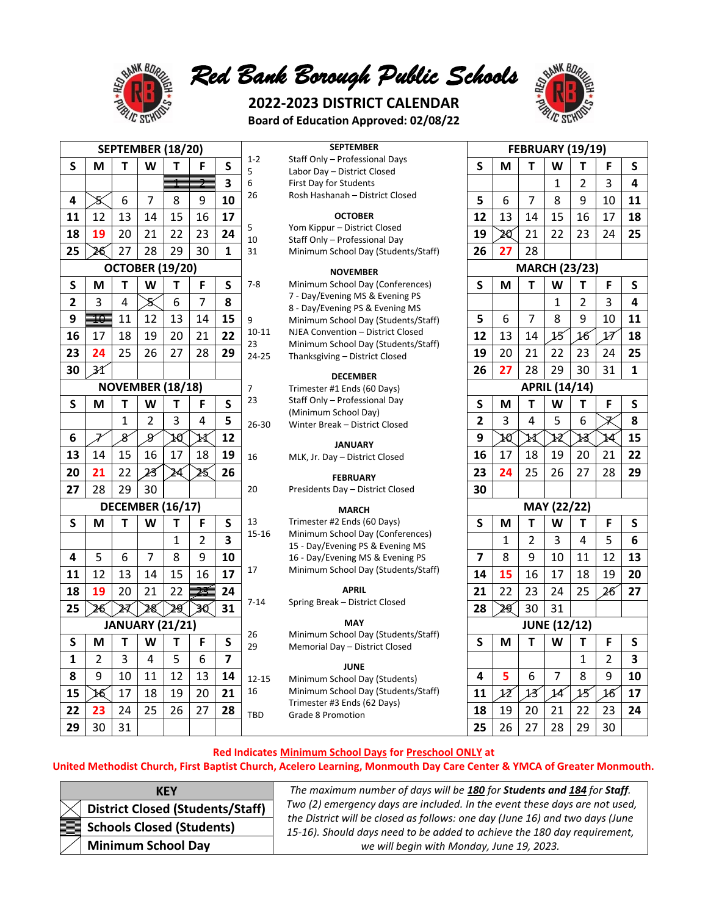

*Red Bank Borough Public Schools*

# **2022-2023 DISTRICT CALENDAR Board of Education Approved: 02/08/22**



| SEPTEMBER (18/20)       |                          |                         |                |                        |                       |                         |                | <b>SEPTEMBER</b>                                                        | <b>FEBRUARY (19/19)</b> |                 |                       |    |                |                          |                         |  |  |
|-------------------------|--------------------------|-------------------------|----------------|------------------------|-----------------------|-------------------------|----------------|-------------------------------------------------------------------------|-------------------------|-----------------|-----------------------|----|----------------|--------------------------|-------------------------|--|--|
| $\mathsf{s}$            | M                        | т                       | W              | т                      | F                     | $\mathsf{s}$            | $1 - 2$<br>5   | Staff Only - Professional Days<br>Labor Day - District Closed           | $\mathsf{S}$            | M               | T                     | W  | т              | F                        | $\mathsf{s}$            |  |  |
|                         |                          |                         |                |                        | Ż                     | $\overline{\mathbf{3}}$ | 6              | First Day for Students                                                  |                         |                 |                       | 1  | $\overline{2}$ | 3                        | $\overline{\mathbf{4}}$ |  |  |
| 4                       | X                        | 6                       | 7              | 8                      | 9                     | 10                      | 26             | Rosh Hashanah - District Closed                                         | 5                       | 6               | 7                     | 8  | 9              | 10                       | 11                      |  |  |
| 11                      | 12                       | 13                      | 14             | 15                     | 16                    | 17                      |                | <b>OCTOBER</b>                                                          | 12                      | 13              | 14                    | 15 | 16             | 17                       | 18                      |  |  |
|                         |                          |                         |                |                        |                       | 24                      | 5              | Yom Kippur - District Closed                                            | 19                      |                 | 21                    |    |                |                          |                         |  |  |
| 18                      | 19                       | 20                      | 21             | 22                     | 23                    |                         | 10             | Staff Only - Professional Day                                           |                         | Æ               |                       | 22 | 23             | 24                       | 25                      |  |  |
| 25                      | 26                       | 27                      | 28             | 29                     | 30                    | $\mathbf{1}$            | 31             | Minimum School Day (Students/Staff)                                     | 26                      | 27              | 28                    |    |                |                          |                         |  |  |
|                         |                          |                         |                | <b>OCTOBER (19/20)</b> |                       |                         |                | <b>NOVEMBER</b>                                                         |                         |                 | <b>MARCH (23/23)</b>  |    |                |                          |                         |  |  |
| S                       | М                        | т                       | W              | т                      | F                     | $\mathsf S$             | $7 - 8$        | Minimum School Day (Conferences)                                        | $\mathsf{S}$            | M               | Т                     | W  | Т              | F                        | $\mathsf{s}$            |  |  |
| $\overline{2}$          | 3                        | $\overline{\mathbf{4}}$ | S              | 6                      | 7                     | 8                       |                | 7 - Day/Evening MS & Evening PS                                         |                         |                 |                       | 1  | $\overline{2}$ | 3                        | 4                       |  |  |
| 9                       | $\overline{\mathbf{10}}$ | 11                      | 12             | 13                     | 14                    | 15                      | 9              | 8 - Day/Evening PS & Evening MS<br>Minimum School Day (Students/Staff)  | 5                       | 6               | $\overline{7}$        | 8  | 9              | 10                       | 11                      |  |  |
| 16                      | 17                       | 18                      | 19             | 20                     | 21                    | 22                      | $10 - 11$      | NJEA Convention - District Closed                                       | 12                      | 13              | 14                    | 15 | 16             | $\overline{\mathcal{U}}$ | 18                      |  |  |
| 23                      | 24                       | 25                      | 26             | 27                     | 28                    | 29                      | 23             | Minimum School Day (Students/Staff)                                     | 19                      | 20              | 21                    | 22 | 23             | 24                       | 25                      |  |  |
|                         |                          |                         |                |                        |                       |                         | 24-25          | Thanksgiving - District Closed                                          |                         | 27              |                       |    |                |                          |                         |  |  |
| 30                      | 31                       |                         |                |                        |                       |                         |                | <b>DECEMBER</b>                                                         | 26                      |                 | 28                    | 29 | 30             | 31                       | $\mathbf{1}$            |  |  |
|                         | <b>NOVEMBER (18/18)</b>  |                         |                |                        |                       |                         | $\overline{7}$ | Trimester #1 Ends (60 Days)                                             | <b>APRIL (14/14)</b>    |                 |                       |    |                |                          |                         |  |  |
| $\mathsf{S}$            | М                        | T                       | W              | T                      | F                     | $\mathsf{s}$            | 23             | Staff Only - Professional Day<br>(Minimum School Day)                   | $\mathsf{s}$            | M               | T                     | W  | T              | F                        | $\mathsf{s}$            |  |  |
|                         |                          | $\mathbf{1}$            | $\overline{2}$ | 3                      | 4                     | 5                       | $26 - 30$      | Winter Break - District Closed                                          | $\overline{\mathbf{2}}$ | 3               | 4                     | 5  | 6              |                          | 8                       |  |  |
| 6                       | 7                        | $\mathcal{S}$           | g              | rø                     | $\cancel{\mathbb{X}}$ | 12                      |                | <b>JANUARY</b>                                                          | 9                       | rø              | $\cancel{\mathbb{X}}$ | R  | ĸ              | 14                       | 15                      |  |  |
| 13                      | 14                       | 15                      | 16             | 17                     | 18                    | 19                      | 16             | MLK, Jr. Day - District Closed                                          | 16                      | 17              | 18                    | 19 | 20             | 21                       | 22                      |  |  |
| 20                      | 21                       | 22                      | 23             | 24                     | 25                    | 26                      |                | <b>FEBRUARY</b>                                                         | 23                      | 24              | 25                    | 26 | 27             | 28                       | 29                      |  |  |
| 27                      | 28                       | 29                      | 30             |                        |                       |                         | 20             | Presidents Day - District Closed                                        | 30                      |                 |                       |    |                |                          |                         |  |  |
| <b>DECEMBER (16/17)</b> |                          |                         |                |                        |                       |                         |                | <b>MARCH</b>                                                            | MAY (22/22)             |                 |                       |    |                |                          |                         |  |  |
| $\mathsf{S}$            | M                        | т                       | W              | т                      | F                     | $\mathsf{s}$            | 13             | Trimester #2 Ends (60 Days)                                             | $\mathsf{S}$            | M               | $\mathsf{T}$          | W  | Т              | F                        | $\mathsf{s}$            |  |  |
|                         |                          |                         |                | 1                      | $\overline{2}$        | $\overline{\mathbf{3}}$ | $15 - 16$      | Minimum School Day (Conferences)                                        |                         | $\mathbf{1}$    | $\overline{2}$        | 3  | $\overline{4}$ | 5                        | 6                       |  |  |
| 4                       | 5                        | 6                       | $\overline{7}$ | 8                      | 9                     | 10                      |                | 15 - Day/Evening PS & Evening MS                                        | $\overline{\mathbf{z}}$ | 8               | 9                     | 10 | 11             | 12                       | 13                      |  |  |
|                         |                          |                         |                |                        |                       |                         | 17             | 16 - Day/Evening MS & Evening PS<br>Minimum School Day (Students/Staff) |                         |                 |                       |    |                |                          |                         |  |  |
| 11                      | 12                       | 13                      | 14             | 15                     | 16                    | 17                      |                |                                                                         | 14                      | 15              | 16                    | 17 | 18             | 19                       | 20                      |  |  |
| 18                      | 19                       | 20                      | 21             | 22                     | 23                    | 24                      | $7 - 14$       | <b>APRIL</b><br>Spring Break - District Closed                          | 21                      | 22              | 23                    | 24 | 25             | 26                       | 27                      |  |  |
| 25                      | 26                       | A                       | 28             | 29                     | ЗQ                    | 31                      |                |                                                                         | 28                      | æ               | 30                    | 31 |                |                          |                         |  |  |
| <b>JANUARY (21/21)</b>  |                          |                         |                |                        |                       |                         |                | <b>MAY</b>                                                              | <b>JUNE (12/12)</b>     |                 |                       |    |                |                          |                         |  |  |
| $\mathsf S$             | М                        | T                       | W              | т                      | F                     | ${\sf S}$               | 26<br>29       | Minimum School Day (Students/Staff)<br>Memorial Day - District Closed   | $\mathsf{S}$            | M               | T                     | W  | Т              | F                        | $\mathsf{s}$            |  |  |
| 1                       | 2                        | 3                       | 4              | 5                      | 6                     | $\overline{\mathbf{z}}$ |                |                                                                         |                         |                 |                       |    | $\mathbf{1}$   | $\overline{2}$           | $\overline{\mathbf{3}}$ |  |  |
| 8                       | 9                        | 10                      | 11             | 12                     | 13                    | 14                      | $12 - 15$      | <b>JUNE</b><br>Minimum School Day (Students)                            | 4                       | 5               | 6                     | 7  | 8              | 9                        | 10                      |  |  |
| 15                      | 16                       | 17                      | 18             | 19                     | 20                    | 21                      | 16             | Minimum School Day (Students/Staff)                                     | 11                      | 12 <sup>2</sup> | 13                    | 14 | 15             | 16                       | 17                      |  |  |
| 22                      | 23                       | 24                      | 25             | 26                     | 27                    | 28                      |                | Trimester #3 Ends (62 Days)                                             | 18                      | 19              | 20                    | 21 | 22             | 23                       | 24                      |  |  |
|                         |                          |                         |                |                        |                       |                         | <b>TBD</b>     | Grade 8 Promotion                                                       |                         |                 |                       |    |                |                          |                         |  |  |
| 29                      | 30                       | 31                      |                |                        |                       |                         |                |                                                                         | 25                      | 26              | 27                    | 28 | 29             | 30                       |                         |  |  |

## 26 Rosh Hashanah – District Closed **OCTOBER**

#### **NOVEMBER**

#### **DECEMBER**

#### **MARCH**

#### **MAY**

#### **JUNE**

|                      | <b>EMBER (18/20)</b> |              |                           |                         |                 | <b>FEBRUARY (19/19)</b>                                                  |                         |              |                |              |                |                                  |                         |  |  |
|----------------------|----------------------|--------------|---------------------------|-------------------------|-----------------|--------------------------------------------------------------------------|-------------------------|--------------|----------------|--------------|----------------|----------------------------------|-------------------------|--|--|
| т                    | W                    | Т            | F                         | S                       | $1 - 2$<br>5    | Staff Only - Professional Days<br>Labor Day - District Closed            | $\mathsf{s}$            | M            | T              | W            | Т              | F                                | $\mathsf{s}$            |  |  |
|                      |                      | ₹            | $\overline{\overline{z}}$ | $\overline{\mathbf{3}}$ | 6               | First Day for Students                                                   |                         |              |                | $\mathbf{1}$ | $\overline{2}$ | 3                                | 4                       |  |  |
| 6                    | 7                    | 8            | 9                         | 10                      | 26              | Rosh Hashanah - District Closed                                          | 5                       | 6            | $\overline{7}$ | 8            | 9              | 10                               | 11                      |  |  |
| L3                   | 14                   | 15           | 16                        | 17                      |                 | <b>OCTOBER</b>                                                           | 12                      | 13           | 14             | 15           | 16             | 17                               | 18                      |  |  |
| 20                   | 21                   | 22           | 23                        | 24                      | 5               | Yom Kippur - District Closed                                             | 19                      | 2Q           | 21             | 22           | 23             | 24                               | 25                      |  |  |
| $\frac{27}{2}$       | 28                   | 29           | 30                        | 1                       | 10<br>31        | Staff Only - Professional Day<br>Minimum School Day (Students/Staff)     | 26                      | 27           | 28             |              |                |                                  |                         |  |  |
|                      | <b>TOBER (19/20)</b> |              |                           |                         |                 |                                                                          | <b>MARCH (23/23)</b>    |              |                |              |                |                                  |                         |  |  |
| T                    | W                    | Т            | F                         | S                       | $7 - 8$         | <b>NOVEMBER</b><br>Minimum School Day (Conferences)                      | $\mathsf{s}$            | M            | T              | W            | Т              | F                                | S                       |  |  |
|                      |                      |              |                           |                         |                 | 7 - Day/Evening MS & Evening PS                                          |                         |              |                |              |                |                                  |                         |  |  |
| 4                    | S                    | 6            | $\overline{7}$            | 8                       |                 | 8 - Day/Evening PS & Evening MS                                          |                         |              |                | 1            | $\overline{2}$ | 3                                | 4                       |  |  |
| $\overline{11}$      | 12                   | 13           | 14                        | 15                      | 9               | Minimum School Day (Students/Staff)                                      | 5                       | 6            | $\overline{7}$ | 8            | 9              | 10                               | 11                      |  |  |
| L8                   | 19                   | 20           | 21                        | 22                      | $10 - 11$<br>23 | NJEA Convention - District Closed<br>Minimum School Day (Students/Staff) | 12                      | 13           | 14             | 15           | 16             | $\overline{\mathcal{M}}$         | 18                      |  |  |
| 25                   | 26                   | 27           | 28                        | 29                      | 24-25           | Thanksgiving - District Closed                                           | 19                      | 20           | 21             | 22           | 23             | 24                               | 25                      |  |  |
|                      |                      |              |                           |                         |                 | <b>DECEMBER</b>                                                          | 26                      | 27           | 28             | 29           | 30             | 31                               | $\mathbf{1}$            |  |  |
| <b>EMBER (18/18)</b> |                      |              |                           |                         | $\overline{7}$  | Trimester #1 Ends (60 Days)                                              | <b>APRIL (14/14)</b>    |              |                |              |                |                                  |                         |  |  |
| T                    | W                    | т            | F                         | S                       | 23              | Staff Only - Professional Day                                            | S                       | М            | т              | W            | Т              | F                                | S                       |  |  |
| $\mathbf 1$          | 2                    | 3            | 4                         | 5                       |                 | (Minimum School Day)                                                     | $\overline{2}$          | 3            | 4              | 5            | 6              | $\bar{\boldsymbol{\mathcal{X}}}$ | 8                       |  |  |
| 8                    | g                    |              | ĸ                         | 12                      | $26 - 30$       | Winter Break - District Closed                                           | 9                       | Œ            | Ħ              |              | ĸ              |                                  | 15                      |  |  |
|                      |                      | Œ            |                           |                         |                 | <b>JANUARY</b>                                                           |                         |              |                | R            |                | 14                               |                         |  |  |
| L5                   | 16                   | 17           | 18                        | 19                      | 16              | MLK, Jr. Day - District Closed                                           | 16                      | 17           | 18             | 19           | 20             | 21                               | 22                      |  |  |
| $^{22}$              | 23                   | 24           | 25                        | 26                      |                 | <b>FEBRUARY</b>                                                          | 23                      | 24           | 25             | 26           | 27             | 28                               | 29                      |  |  |
| 29                   | 30                   |              |                           |                         | 20              | Presidents Day - District Closed                                         | 30                      |              |                |              |                |                                  |                         |  |  |
| <b>EMBER (16/17)</b> |                      |              |                           |                         | <b>MARCH</b>    | MAY (22/22)                                                              |                         |              |                |              |                |                                  |                         |  |  |
| T                    | W                    | т            | F                         | S                       | 13              | Trimester #2 Ends (60 Days)                                              | S                       | M            | Т              | W            | Т              | F                                | $\mathsf S$             |  |  |
|                      |                      | $\mathbf{1}$ | $\overline{2}$            | 3                       | $15 - 16$       | Minimum School Day (Conferences)<br>15 - Day/Evening PS & Evening MS     |                         | $\mathbf{1}$ | $\overline{2}$ | 3            | 4              | 5                                | 6                       |  |  |
| 6                    | 7                    | 8            | 9                         | 10                      |                 | 16 - Day/Evening MS & Evening PS                                         | $\overline{\mathbf{z}}$ | 8            | 9              | 10           | 11             | 12                               | 13                      |  |  |
| L3                   | 14                   | 15           | 16                        | 17                      | 17              | Minimum School Day (Students/Staff)                                      | 14                      | 15           | 16             | 17           | 18             | 19                               | 20                      |  |  |
| 20                   | 21                   | 22           | 23                        | 24                      |                 | <b>APRIL</b>                                                             | 21                      | 22           | 23             | 24           | 25             | 26                               | 27                      |  |  |
| Ł                    | 28                   | 2g           | 3Q                        | 31                      | $7 - 14$        | Spring Break - District Closed                                           | 28                      | 29(          | 30             | 31           |                |                                  |                         |  |  |
| <b>JUARY (21/21)</b> |                      |              |                           |                         | <b>MAY</b>      | <b>JUNE (12/12)</b>                                                      |                         |              |                |              |                |                                  |                         |  |  |
| T                    | W                    | т            | F                         | S                       | 26<br>29        | Minimum School Day (Students/Staff)<br>Memorial Day - District Closed    | S                       | М            | T              | W            | T              | F                                | $\mathsf{S}$            |  |  |
| 3                    | 4                    | 5            | 6                         | $\overline{\mathbf{z}}$ |                 |                                                                          |                         |              |                |              | $\mathbf{1}$   | $\overline{2}$                   | $\overline{\mathbf{3}}$ |  |  |
| LO                   | 11                   | 12           | 13                        | 14                      | $12 - 15$       | <b>JUNE</b><br>Minimum School Day (Students)                             | 4                       | 5            | 6              | 7            | 8              | 9                                | 10                      |  |  |
| $\overline{17}$      | 18                   | 19           | 20                        | 21                      | 16              | Minimum School Day (Students/Staff)                                      | 11                      | 12           | 13             | 14           | 15             | 16                               | 17                      |  |  |
| $\frac{24}{3}$       | 25                   | 26           | 27                        | 28                      |                 | Trimester #3 Ends (62 Days)                                              | 18                      | 19           | 20             | 21           | 22             | 23                               | 24                      |  |  |
| $\overline{31}$      |                      |              |                           |                         | <b>TBD</b>      | Grade 8 Promotion                                                        | 25                      | 26           | 27             | 28           | 29             | 30                               |                         |  |  |
|                      |                      |              |                           |                         |                 |                                                                          |                         |              |                |              |                |                                  |                         |  |  |

### **Red Indicates Minimum School Days for Preschool ONLY at**

## **United Methodist Church, First Baptist Church, Acelero Learning, Monmouth Day Care Center & YMCA of Greater Monmouth.**

| KFY                                         | The maximum number of days will be 180 for Students and 184 for Staff.                                                                                     |  |  |  |  |  |  |
|---------------------------------------------|------------------------------------------------------------------------------------------------------------------------------------------------------------|--|--|--|--|--|--|
| $ \times $ District Closed (Students/Staff) | Two (2) emergency days are included. In the event these days are not used,<br>the District will be closed as follows: one day (June 16) and two days (June |  |  |  |  |  |  |
| Schools Closed (Students)                   | 15-16). Should days need to be added to achieve the 180 day requirement,                                                                                   |  |  |  |  |  |  |
| Minimum School Day                          | we will begin with Monday, June 19, 2023.                                                                                                                  |  |  |  |  |  |  |